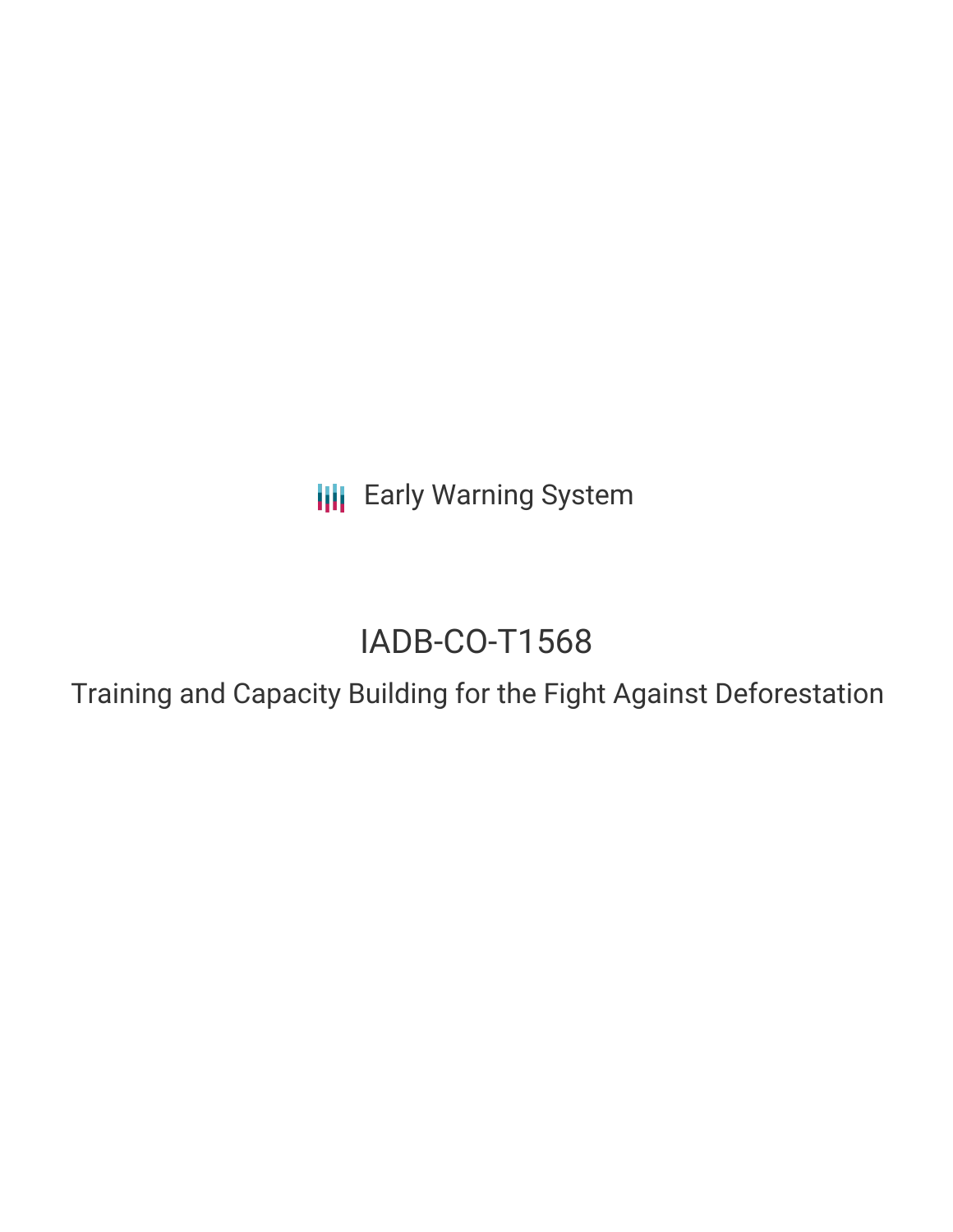**III** Early Warning System

# IADB-CO-T1568

Training and Capacity Building for the Fight Against Deforestation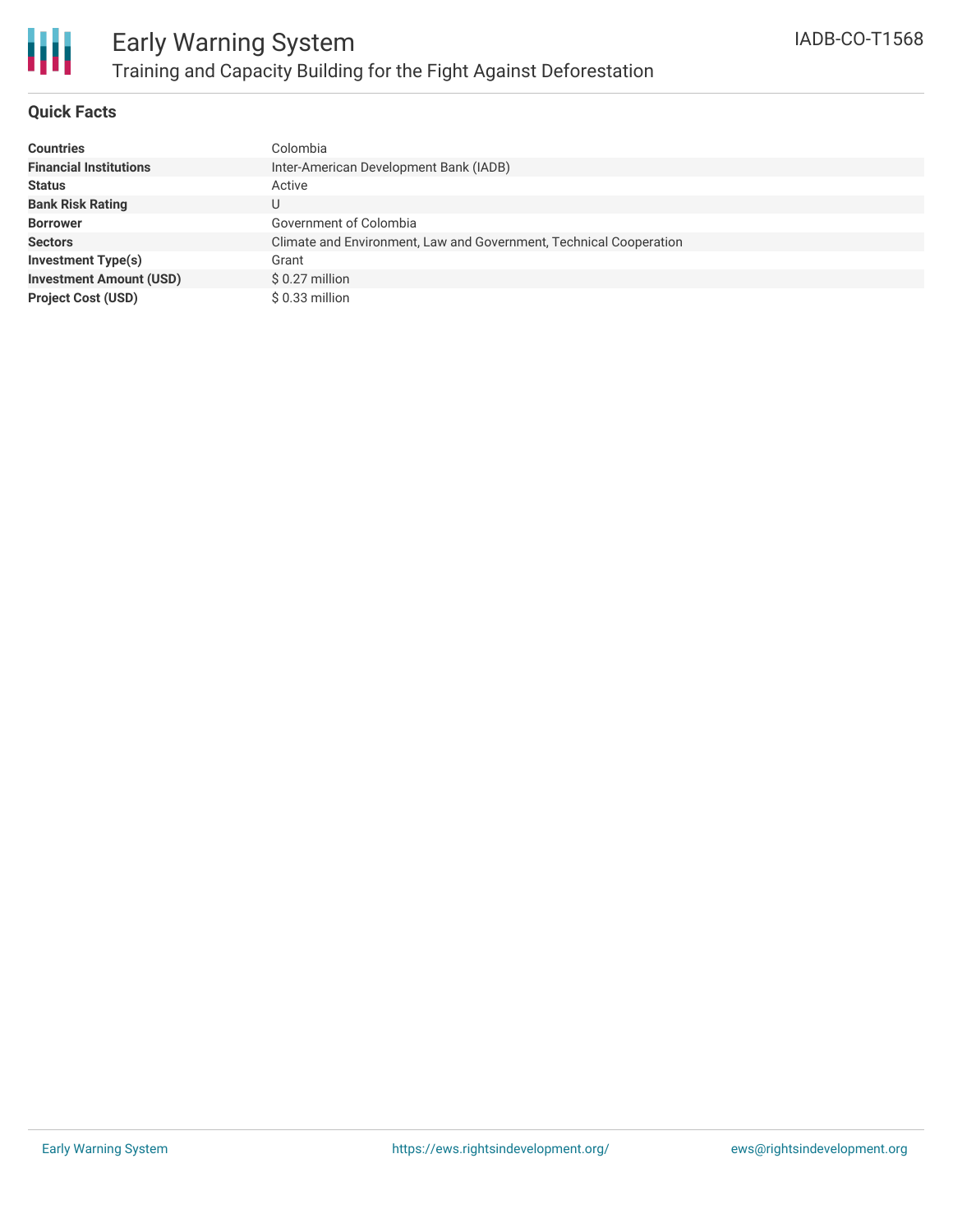

### **Quick Facts**

| <b>Countries</b>               | Colombia                                                           |
|--------------------------------|--------------------------------------------------------------------|
| <b>Financial Institutions</b>  | Inter-American Development Bank (IADB)                             |
| <b>Status</b>                  | Active                                                             |
| <b>Bank Risk Rating</b>        | U                                                                  |
| <b>Borrower</b>                | Government of Colombia                                             |
| <b>Sectors</b>                 | Climate and Environment, Law and Government, Technical Cooperation |
| <b>Investment Type(s)</b>      | Grant                                                              |
| <b>Investment Amount (USD)</b> | $$0.27$ million                                                    |
| <b>Project Cost (USD)</b>      | $$0.33$ million                                                    |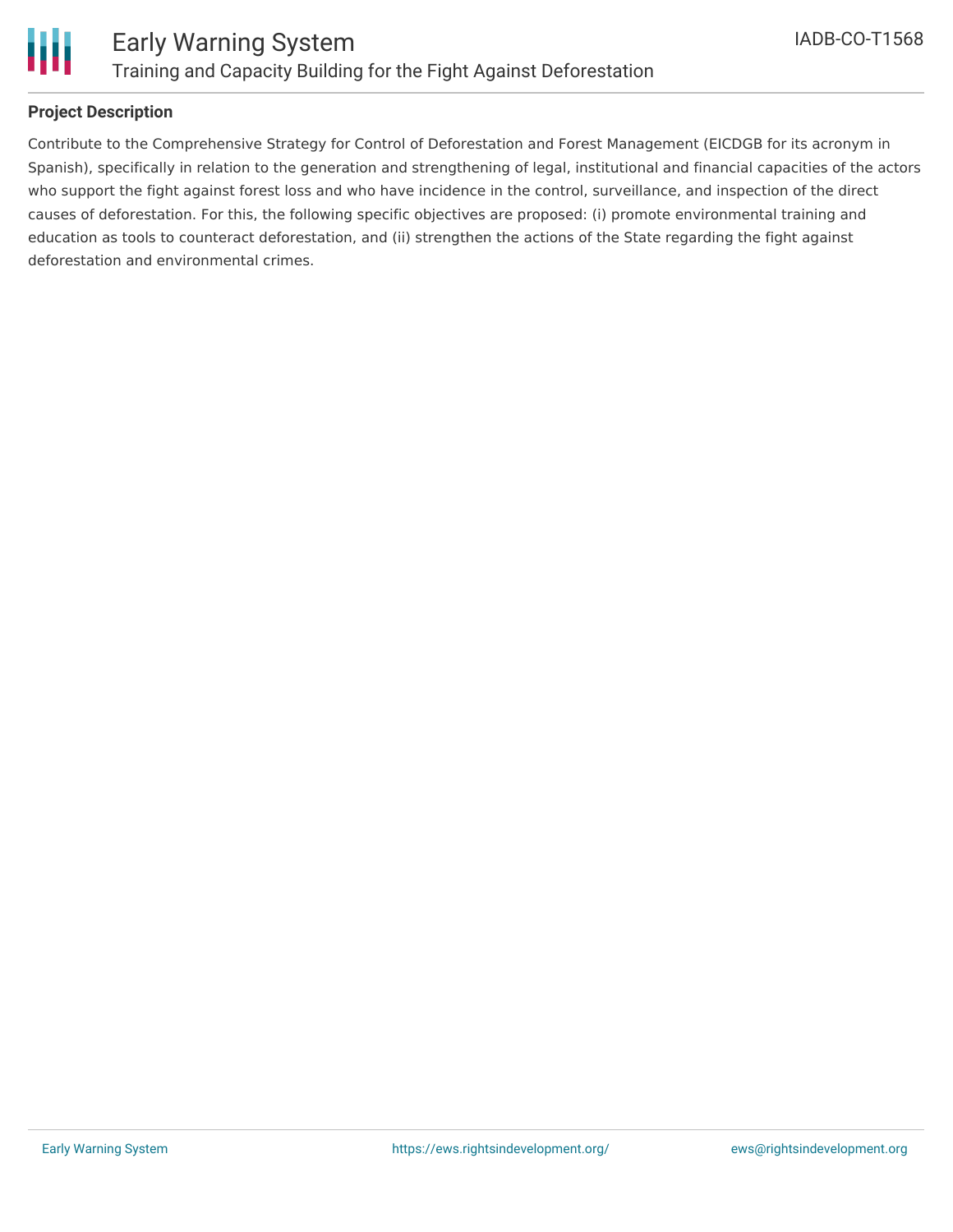

### **Project Description**

Contribute to the Comprehensive Strategy for Control of Deforestation and Forest Management (EICDGB for its acronym in Spanish), specifically in relation to the generation and strengthening of legal, institutional and financial capacities of the actors who support the fight against forest loss and who have incidence in the control, surveillance, and inspection of the direct causes of deforestation. For this, the following specific objectives are proposed: (i) promote environmental training and education as tools to counteract deforestation, and (ii) strengthen the actions of the State regarding the fight against deforestation and environmental crimes.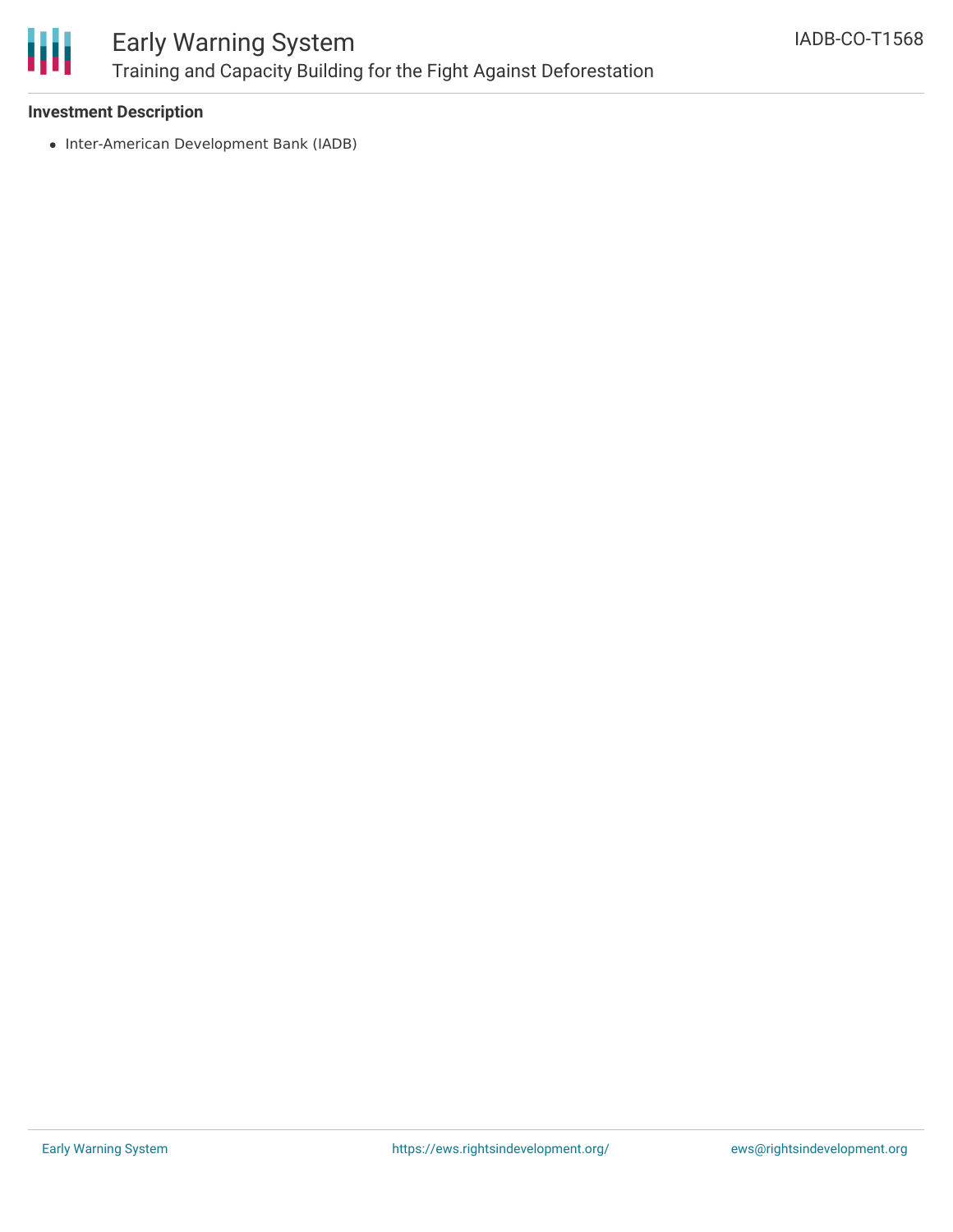

## Early Warning System Training and Capacity Building for the Fight Against Deforestation

### **Investment Description**

• Inter-American Development Bank (IADB)